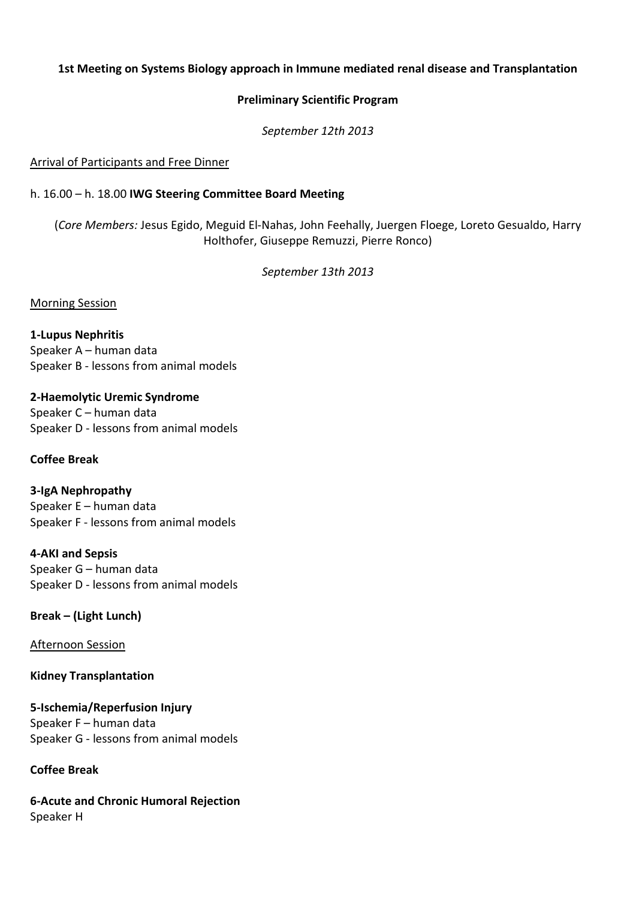## **1st Meeting on Systems Biology approach in Immune mediated renal disease and Transplantation**

#### **Preliminary Scientific Program**

*September 12th 2013*

#### Arrival of Participants and Free Dinner

# h. 16.00 – h. 18.00 **IWG Steering Committee Board Meeting**

(*Core Members:* Jesus Egido, Meguid El-Nahas, John Feehally, Juergen Floege, Loreto Gesualdo, Harry Holthofer, Giuseppe Remuzzi, Pierre Ronco)

*September 13th 2013*

### Morning Session

**1-Lupus Nephritis**  Speaker A – human data Speaker B - lessons from animal models

**2-Haemolytic Uremic Syndrome**  Speaker C – human data Speaker D - lessons from animal models

### **Coffee Break**

**3-IgA Nephropathy**  Speaker E – human data Speaker F - lessons from animal models

**4-AKI and Sepsis**  Speaker G – human data

Speaker D - lessons from animal models

**Break – (Light Lunch)**

Afternoon Session

**Kidney Transplantation** 

**5-Ischemia/Reperfusion Injury**  Speaker F – human data Speaker G - lessons from animal models

### **Coffee Break**

**6-Acute and Chronic Humoral Rejection**  Speaker H